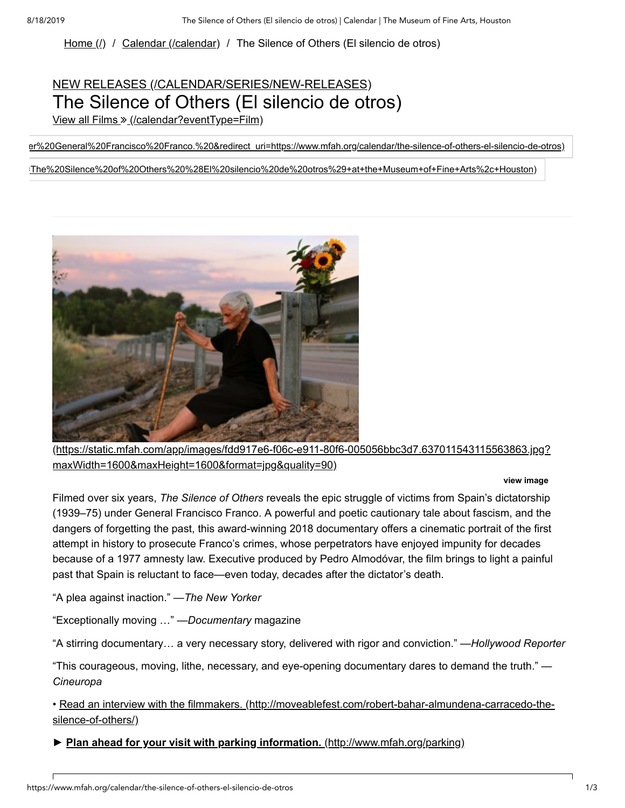Home  $(l)$  / [Calendar \(/calendar\)](https://www.mfah.org/calendar) / The Silence of Others (El silencio de otros)

## NEW RELEASES [\(/CALENDAR/SERIES/NEW-RELEASES\)](https://www.mfah.org/calendar/series/new-releases) The Silence of Others (El silencio de otros)

View all Films » [\(/calendar?eventType=Film\)](https://www.mfah.org/calendar?eventType=Film)

[er%20General%20Francisco%20Franco.%20&redirect\\_uri=https://www.mfah.org/calendar/the-silence-of-others-el-silencio-de-otros\)](https://www.facebook.com/dialog/feed?app_id=276344169118313&link=https://www.mfah.org/calendar/the-silence-of-others-el-silencio-de-otros&picture=https://static.mfah.com/app/images/fdd917e6-f06c-e911-80f6-005056bbc3d7.637014751423889627.jpg?width=1200&height=1200&format=jpg&quality=90&name=The%20Silence%20of%20Others%20%28El%20silencio%20de%20otros%29&caption=The%20Museum%20of%20Fine%20Arts%2C%20Houston&description=The%20Silence%20of%20Others%20reveals%20the%20epic%20struggle%20of%20victims%20from%20Spain%E2%80%99s%20dictatorship%20under%20General%20Francisco%20Franco.%20&redirect_uri=https://www.mfah.org/calendar/the-silence-of-others-el-silencio-de-otros)

[=The%20Silence%20of%20Others%20%28El%20silencio%20de%20otros%29+at+the+Museum+of+Fine+Arts%2c+Houston\)](https://pinterest.com/pin/create/button/?url=https://www.mfah.org/calendar/the-silence-of-others-el-silencio-de-otros&media=https://static.mfah.com/app/images/fdd917e6-f06c-e911-80f6-005056bbc3d7.637014751423889627.jpg?width=1200&height=1200&format=jpg&quality=90&description=The%20Silence%20of%20Others%20%28El%20silencio%20de%20otros%29+at+the+Museum+of+Fine+Arts%2c+Houston)



[\(https://static.mfah.com/app/images/fdd917e6-f06c-e911-80f6-005056bbc3d7.637011543115563863.jpg?](https://static.mfah.com/app/images/fdd917e6-f06c-e911-80f6-005056bbc3d7.637011543115563863.jpg?maxWidth=1600&maxHeight=1600&format=jpg&quality=90) maxWidth=1600&maxHeight=1600&format=jpg&quality=90)

## **view image**

Filmed over six years, *The Silence of Others* reveals the epic struggle of victims from Spain's dictatorship (1939–75) under General Francisco Franco. A powerful and poetic cautionary tale about fascism, and the dangers of forgetting the past, this award-winning 2018 documentary offers a cinematic portrait of the first attempt in history to prosecute Franco's crimes, whose perpetrators have enjoyed impunity for decades because of a 1977 amnesty law. Executive produced by Pedro Almodóvar, the film brings to light a painful past that Spain is reluctant to face—even today, decades after the dictator's death.

"A plea against inaction." —*The New Yorker*

"Exceptionally moving …" —*Documentary* magazine

"A stirring documentary… a very necessary story, delivered with rigor and conviction." —*Hollywood Reporter*

"This courageous, moving, lithe, necessary, and eye-opening documentary dares to demand the truth." — *Cineuropa*

[• Read an interview with the filmmakers. \(http://moveablefest.com/robert-bahar-almundena-carracedo-the](http://moveablefest.com/robert-bahar-almundena-carracedo-the-silence-of-others/)silence-of-others/)

**► [Plan ahead for your visit with parking information.](http://www.mfah.org/parking)** (http://www.mfah.org/parking)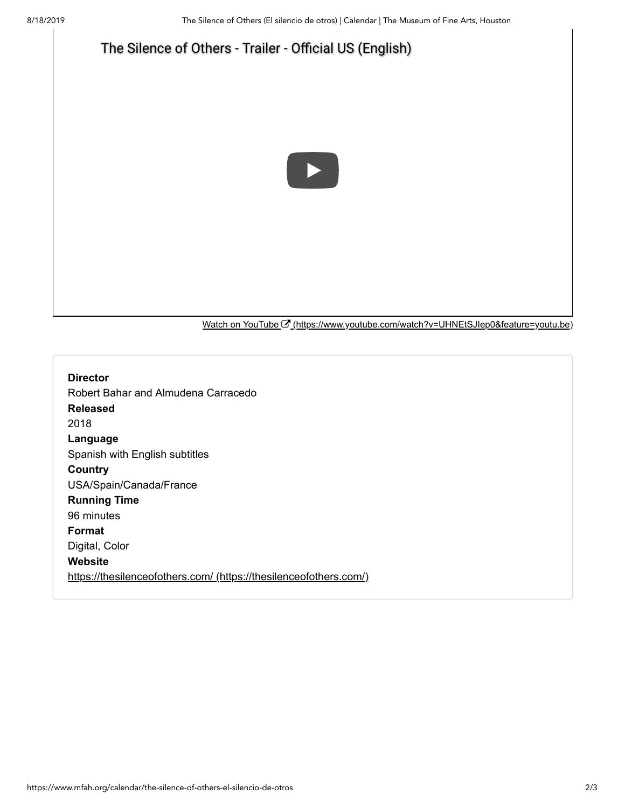

Watch on YouTube <sup>[7]</sup> [\(https://www.youtube.com/watch?v=UHNEtSJIep0&feature=youtu.be\)](https://www.youtube.com/watch?v=UHNEtSJIep0&feature=youtu.be)

**Director** Robert Bahar and Almudena Carracedo **Released** 2018 **Language** Spanish with English subtitles **Country** USA/Spain/Canada/France **Running Time** 96 minutes **Format** Digital, Color **Website** [https://thesilenceofothers.com/ \(https://thesilenceofothers.com/\)](https://thesilenceofothers.com/)